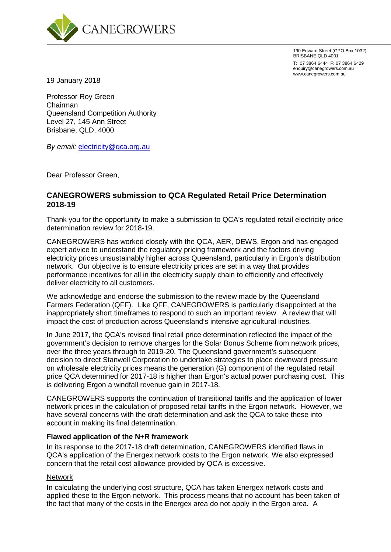

190 Edward Street (GPO Box 1032) BRISBANE QLD 4001

T: 07 3864 6444 F: 07 3864 6429 enquiry@canegrowers.com.au www.canegrowers.com.au

19 January 2018

Professor Roy Green Chairman Queensland Competition Authority Level 27, 145 Ann Street Brisbane, QLD, 4000

*By email:* [electricity@qca.org.au](mailto:electricity@qca.org.au)

Dear Professor Green,

# **CANEGROWERS submission to QCA Regulated Retail Price Determination 2018-19**

Thank you for the opportunity to make a submission to QCA's regulated retail electricity price determination review for 2018-19.

CANEGROWERS has worked closely with the QCA, AER, DEWS, Ergon and has engaged expert advice to understand the regulatory pricing framework and the factors driving electricity prices unsustainably higher across Queensland, particularly in Ergon's distribution network. Our objective is to ensure electricity prices are set in a way that provides performance incentives for all in the electricity supply chain to efficiently and effectively deliver electricity to all customers.

We acknowledge and endorse the submission to the review made by the Queensland Farmers Federation (QFF). Like QFF, CANEGROWERS is particularly disappointed at the inappropriately short timeframes to respond to such an important review. A review that will impact the cost of production across Queensland's intensive agricultural industries.

In June 2017, the QCA's revised final retail price determination reflected the impact of the government's decision to remove charges for the Solar Bonus Scheme from network prices, over the three years through to 2019-20. The Queensland government's subsequent decision to direct Stanwell Corporation to undertake strategies to place downward pressure on wholesale electricity prices means the generation (G) component of the regulated retail price QCA determined for 2017-18 is higher than Ergon's actual power purchasing cost. This is delivering Ergon a windfall revenue gain in 2017-18.

CANEGROWERS supports the continuation of transitional tariffs and the application of lower network prices in the calculation of proposed retail tariffs in the Ergon network. However, we have several concerns with the draft determination and ask the QCA to take these into account in making its final determination.

## **Flawed application of the N+R framework**

In its response to the 2017-18 draft determination, CANEGROWERS identified flaws in QCA's application of the Energex network costs to the Ergon network. We also expressed concern that the retail cost allowance provided by QCA is excessive.

#### Network

In calculating the underlying cost structure, QCA has taken Energex network costs and applied these to the Ergon network. This process means that no account has been taken of the fact that many of the costs in the Energex area do not apply in the Ergon area. A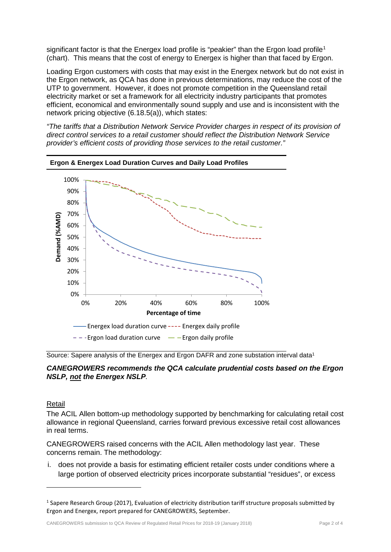significant factor is that the Energex load profile is "peakier" than the Ergon load profile<sup>[1](#page-1-0)</sup> (chart). This means that the cost of energy to Energex is higher than that faced by Ergon.

Loading Ergon customers with costs that may exist in the Energex network but do not exist in the Ergon network, as QCA has done in previous determinations, may reduce the cost of the UTP to government. However, it does not promote competition in the Queensland retail electricity market or set a framework for all electricity industry participants that promotes efficient, economical and environmentally sound supply and use and is inconsistent with the network pricing objective (6.18.5(a)), which states:

*"The tariffs that a Distribution Network Service Provider charges in respect of its provision of direct control services to a retail customer should reflect the Distribution Network Service provider's efficient costs of providing those services to the retail customer."*



Source: Sapere analysis of the Energex and Ergon DAFR and zone substation interval data<sup>1</sup>

### *CANEGROWERS recommends the QCA calculate prudential costs based on the Ergon NSLP, not the Energex NSLP.*

## Retail

 $\overline{\phantom{a}}$ 

The ACIL Allen bottom-up methodology supported by benchmarking for calculating retail cost allowance in regional Queensland, carries forward previous excessive retail cost allowances in real terms.

CANEGROWERS raised concerns with the ACIL Allen methodology last year. These concerns remain. The methodology:

i. does not provide a basis for estimating efficient retailer costs under conditions where a large portion of observed electricity prices incorporate substantial "residues", or excess

<span id="page-1-0"></span><sup>&</sup>lt;sup>1</sup> Sapere Research Group (2017), Evaluation of electricity distribution tariff structure proposals submitted by Ergon and Energex, report prepared for CANEGROWERS, September.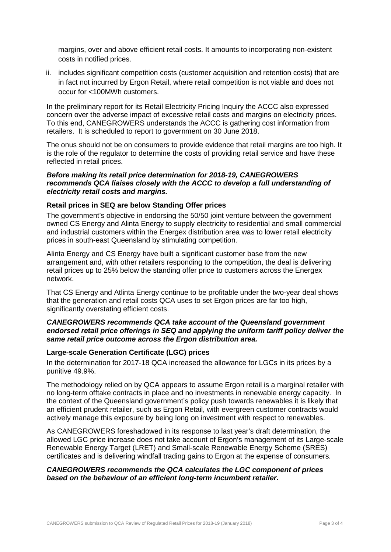margins, over and above efficient retail costs. It amounts to incorporating non-existent costs in notified prices.

ii. includes significant competition costs (customer acquisition and retention costs) that are in fact not incurred by Ergon Retail, where retail competition is not viable and does not occur for <100MWh customers.

In the preliminary report for its Retail Electricity Pricing Inquiry the ACCC also expressed concern over the adverse impact of excessive retail costs and margins on electricity prices. To this end, CANEGROWERS understands the ACCC is gathering cost information from retailers. It is scheduled to report to government on 30 June 2018.

The onus should not be on consumers to provide evidence that retail margins are too high. It is the role of the regulator to determine the costs of providing retail service and have these reflected in retail prices.

### *Before making its retail price determination for 2018-19, CANEGROWERS recommends QCA liaises closely with the ACCC to develop a full understanding of electricity retail costs and margins.*

### **Retail prices in SEQ are below Standing Offer prices**

The government's objective in endorsing the 50/50 joint venture between the government owned CS Energy and Alinta Energy to supply electricity to residential and small commercial and industrial customers within the Energex distribution area was to lower retail electricity prices in south-east Queensland by stimulating competition.

Alinta Energy and CS Energy have built a significant customer base from the new arrangement and, with other retailers responding to the competition, the deal is delivering retail prices up to 25% below the standing offer price to customers across the Energex network.

That CS Energy and Atlinta Energy continue to be profitable under the two-year deal shows that the generation and retail costs QCA uses to set Ergon prices are far too high, significantly overstating efficient costs.

#### *CANEGROWERS recommends QCA take account of the Queensland government endorsed retail price offerings in SEQ and applying the uniform tariff policy deliver the same retail price outcome across the Ergon distribution area.*

#### **Large-scale Generation Certificate (LGC) prices**

In the determination for 2017-18 QCA increased the allowance for LGCs in its prices by a punitive 49.9%.

The methodology relied on by QCA appears to assume Ergon retail is a marginal retailer with no long-term offtake contracts in place and no investments in renewable energy capacity. In the context of the Queensland government's policy push towards renewables it is likely that an efficient prudent retailer, such as Ergon Retail, with evergreen customer contracts would actively manage this exposure by being long on investment with respect to renewables.

As CANEGROWERS foreshadowed in its response to last year's draft determination, the allowed LGC price increase does not take account of Ergon's management of its Large-scale Renewable Energy Target (LRET) and Small-scale Renewable Energy Scheme (SRES) certificates and is delivering windfall trading gains to Ergon at the expense of consumers.

### *CANEGROWERS recommends the QCA calculates the LGC component of prices based on the behaviour of an efficient long-term incumbent retailer.*